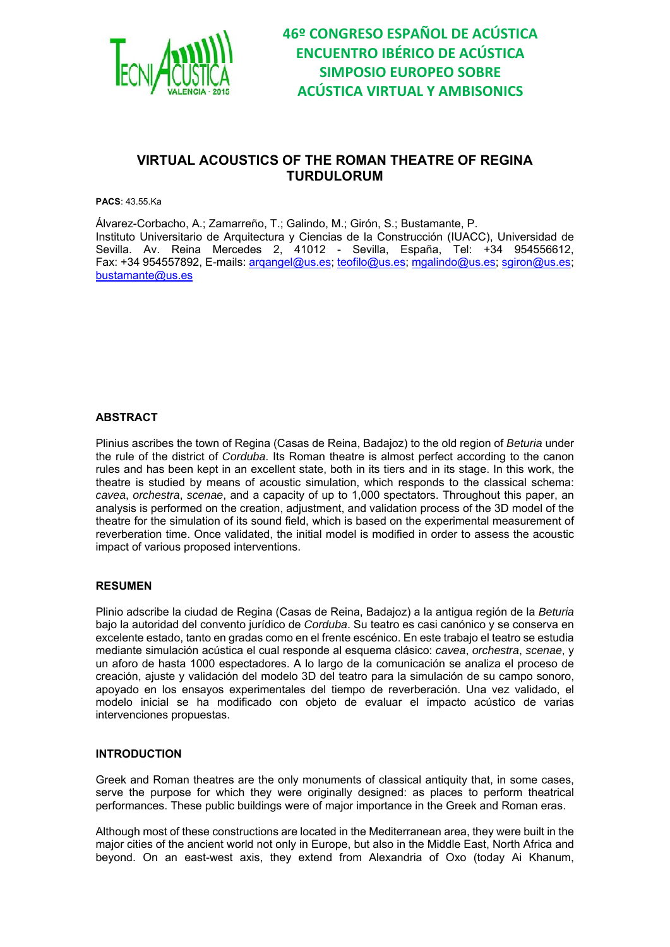

### **VIRTUAL ACOUSTICS OF THE ROMAN THEATRE OF REGINA TURDULORUM**

**PACS**: 43.55.Ka

Álvarez-Corbacho, A.; Zamarreño, T.; Galindo, M.; Girón, S.; Bustamante, P. Instituto Universitario de Arquitectura y Ciencias de la Construcción (IUACC), Universidad de Sevilla. Av. Reina Mercedes 2, 41012 - Sevilla, España, Tel: +34 954556612, Fax: +34 954557892, E-mails: arqangel@us.es; teofilo@us.es; mgalindo@us.es; sgiron@us.es; bustamante@us.es

### **ABSTRACT**

Plinius ascribes the town of Regina (Casas de Reina, Badajoz) to the old region of *Beturia* under the rule of the district of *Corduba*. Its Roman theatre is almost perfect according to the canon rules and has been kept in an excellent state, both in its tiers and in its stage. In this work, the theatre is studied by means of acoustic simulation, which responds to the classical schema: *cavea*, *orchestra*, *scenae*, and a capacity of up to 1,000 spectators. Throughout this paper, an analysis is performed on the creation, adjustment, and validation process of the 3D model of the theatre for the simulation of its sound field, which is based on the experimental measurement of reverberation time. Once validated, the initial model is modified in order to assess the acoustic impact of various proposed interventions.

#### **RESUMEN**

Plinio adscribe la ciudad de Regina (Casas de Reina, Badajoz) a la antigua región de la *Beturia* bajo la autoridad del convento jurídico de *Corduba*. Su teatro es casi canónico y se conserva en excelente estado, tanto en gradas como en el frente escénico. En este trabajo el teatro se estudia mediante simulación acústica el cual responde al esquema clásico: *cavea*, *orchestra*, *scenae*, y un aforo de hasta 1000 espectadores. A lo largo de la comunicación se analiza el proceso de creación, ajuste y validación del modelo 3D del teatro para la simulación de su campo sonoro, apoyado en los ensayos experimentales del tiempo de reverberación. Una vez validado, el modelo inicial se ha modificado con objeto de evaluar el impacto acústico de varias intervenciones propuestas.

#### **INTRODUCTION**

Greek and Roman theatres are the only monuments of classical antiquity that, in some cases, serve the purpose for which they were originally designed: as places to perform theatrical performances. These public buildings were of major importance in the Greek and Roman eras.

Although most of these constructions are located in the Mediterranean area, they were built in the major cities of the ancient world not only in Europe, but also in the Middle East, North Africa and beyond. On an east-west axis, they extend from Alexandria of Oxo (today Ai Khanum,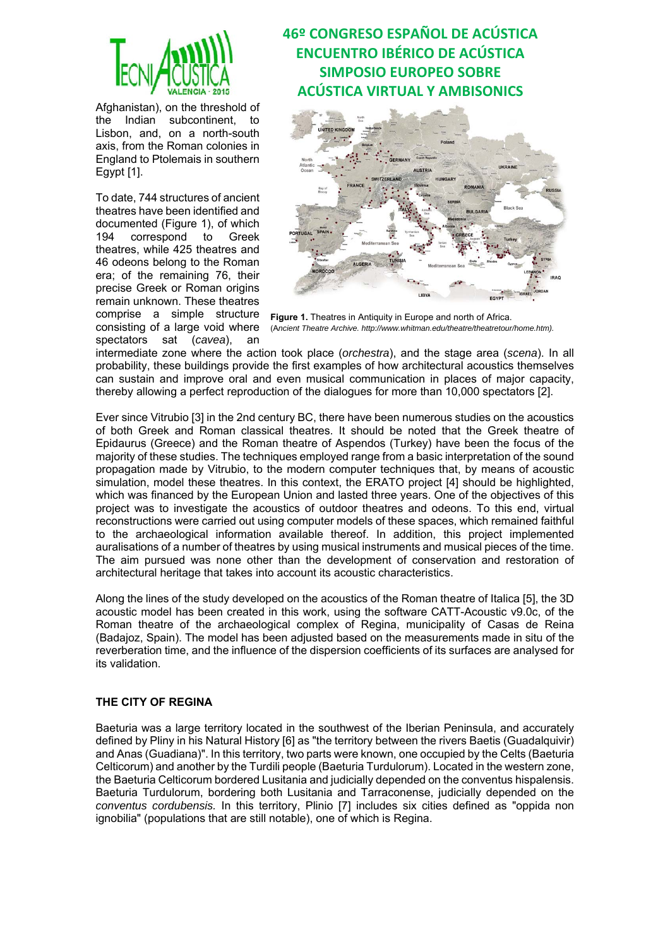

Afghanistan), on the threshold of the Indian subcontinent, to Lisbon, and, on a north-south axis, from the Roman colonies in England to Ptolemais in southern Egypt [1].

To date, 744 structures of ancient theatres have been identified and documented (Figure 1), of which 194 correspond to Greek theatres, while 425 theatres and 46 odeons belong to the Roman era; of the remaining 76, their precise Greek or Roman origins remain unknown. These theatres comprise a simple structure consisting of a large void where

spectators sat (*cavea*), an

# **46º CONGRESO ESPAÑOL DE ACÚSTICA ENCUENTRO IBÉRICO DE ACÚSTICA SIMPOSIO EUROPEO SOBRE ACÚSTICA VIRTUAL Y AMBISONICS**



**Figure 1.** Theatres in Antiquity in Europe and north of Africa. (A*ncient Theatre Archive. http://www.whitman.edu/theatre/theatretour/home.htm).*

intermediate zone where the action took place (*orchestra*), and the stage area (*scena*). In all probability, these buildings provide the first examples of how architectural acoustics themselves can sustain and improve oral and even musical communication in places of major capacity, thereby allowing a perfect reproduction of the dialogues for more than 10,000 spectators [2].

Ever since Vitrubio [3] in the 2nd century BC, there have been numerous studies on the acoustics of both Greek and Roman classical theatres. It should be noted that the Greek theatre of Epidaurus (Greece) and the Roman theatre of Aspendos (Turkey) have been the focus of the majority of these studies. The techniques employed range from a basic interpretation of the sound propagation made by Vitrubio, to the modern computer techniques that, by means of acoustic simulation, model these theatres. In this context, the ERATO project [4] should be highlighted, which was financed by the European Union and lasted three years. One of the objectives of this project was to investigate the acoustics of outdoor theatres and odeons. To this end, virtual reconstructions were carried out using computer models of these spaces, which remained faithful to the archaeological information available thereof. In addition, this project implemented auralisations of a number of theatres by using musical instruments and musical pieces of the time. The aim pursued was none other than the development of conservation and restoration of architectural heritage that takes into account its acoustic characteristics.

Along the lines of the study developed on the acoustics of the Roman theatre of Italica [5], the 3D acoustic model has been created in this work, using the software CATT-Acoustic v9.0c, of the Roman theatre of the archaeological complex of Regina, municipality of Casas de Reina (Badajoz, Spain). The model has been adjusted based on the measurements made in situ of the reverberation time, and the influence of the dispersion coefficients of its surfaces are analysed for its validation.

### **THE CITY OF REGINA**

Baeturia was a large territory located in the southwest of the Iberian Peninsula, and accurately defined by Pliny in his Natural History [6] as "the territory between the rivers Baetis (Guadalquivir) and Anas (Guadiana)". In this territory, two parts were known, one occupied by the Celts (Baeturia Celticorum) and another by the Turdili people (Baeturia Turdulorum). Located in the western zone, the Baeturia Celticorum bordered Lusitania and judicially depended on the conventus hispalensis. Baeturia Turdulorum, bordering both Lusitania and Tarraconense, judicially depended on the *conventus cordubensis.* In this territory, Plinio [7] includes six cities defined as "oppida non ignobilia" (populations that are still notable), one of which is Regina.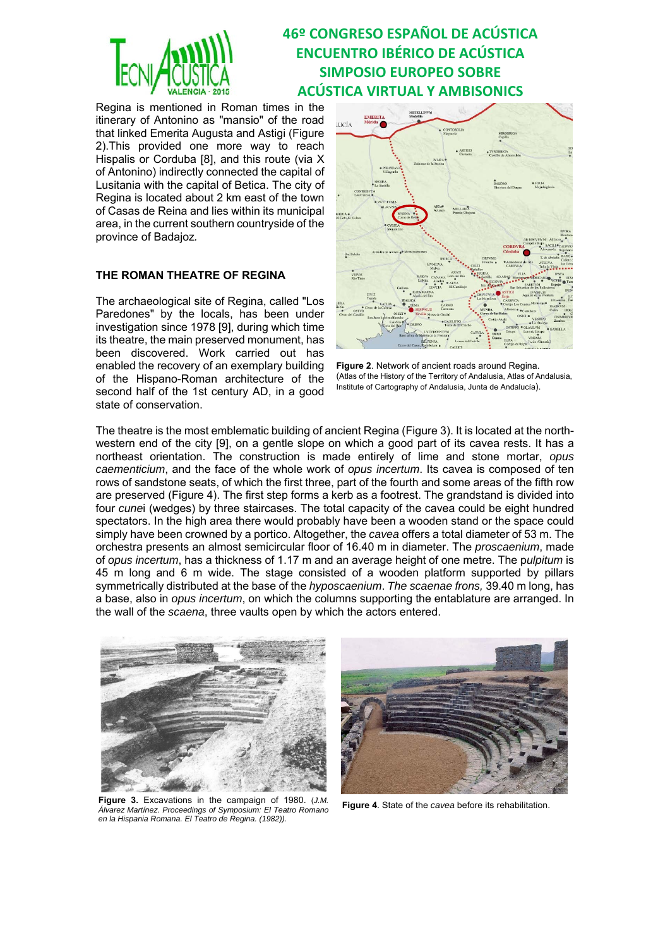

Regina is mentioned in Roman times in the itinerary of Antonino as "mansio" of the road that linked Emerita Augusta and Astigi (Figure 2).This provided one more way to reach Hispalis or Corduba [8], and this route (via X of Antonino) indirectly connected the capital of Lusitania with the capital of Betica. The city of Regina is located about 2 km east of the town of Casas de Reina and lies within its municipal area, in the current southern countryside of the province of Badajoz*.*

### **THE ROMAN THEATRE OF REGINA**

The archaeological site of Regina, called "Los Paredones" by the locals, has been under investigation since 1978 [9], during which time its theatre, the main preserved monument, has been discovered. Work carried out has enabled the recovery of an exemplary building of the Hispano-Roman architecture of the second half of the 1st century AD, in a good state of conservation.



**Figure 2**. Network of ancient roads around Regina. (Atlas of the History of the Territory of Andalusia, Atlas of Andalusia, Institute of Cartography of Andalusia, Junta de Andalucía).

The theatre is the most emblematic building of ancient Regina (Figure 3). It is located at the northwestern end of the city [9], on a gentle slope on which a good part of its cavea rests. It has a northeast orientation. The construction is made entirely of lime and stone mortar, *opus caementicium*, and the face of the whole work of *opus incertum*. Its cavea is composed of ten rows of sandstone seats, of which the first three, part of the fourth and some areas of the fifth row are preserved (Figure 4). The first step forms a kerb as a footrest. The grandstand is divided into four *cune*i (wedges) by three staircases. The total capacity of the cavea could be eight hundred spectators. In the high area there would probably have been a wooden stand or the space could simply have been crowned by a portico. Altogether, the *cavea* offers a total diameter of 53 m. The orchestra presents an almost semicircular floor of 16.40 m in diameter. The *proscaenium*, made of *opus incertum*, has a thickness of 1.17 m and an average height of one metre. The p*ulpitum* is 45 m long and 6 m wide. The stage consisted of a wooden platform supported by pillars symmetrically distributed at the base of the *hyposcaenium*. *The scaenae frons,* 39.40 m long, has a base, also in *opus incertum*, on which the columns supporting the entablature are arranged. In the wall of the *scaena*, three vaults open by which the actors entered.





**Figure 3.** Excavations in the campaign of 1980. (*J.M. Álvarez Martínez. Proceedings of Symposium: El Teatro Romano en la Hispania Romana. El Teatro de Regina. (1982)).*

**Figure 4**. State of the *cavea* before its rehabilitation.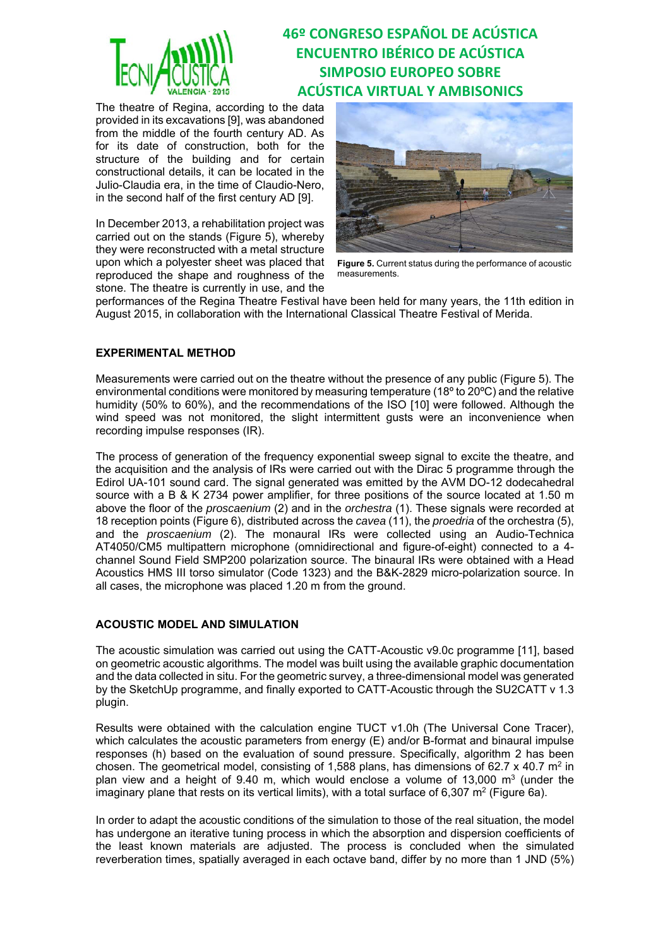

The theatre of Regina, according to the data provided in its excavations [9], was abandoned from the middle of the fourth century AD. As for its date of construction, both for the structure of the building and for certain constructional details, it can be located in the Julio-Claudia era, in the time of Claudio-Nero, in the second half of the first century AD [9].

In December 2013, a rehabilitation project was carried out on the stands (Figure 5), whereby they were reconstructed with a metal structure upon which a polyester sheet was placed that reproduced the shape and roughness of the stone. The theatre is currently in use, and the



**Figure 5.** Current status during the performance of acoustic measurements.

performances of the Regina Theatre Festival have been held for many years, the 11th edition in August 2015, in collaboration with the International Classical Theatre Festival of Merida.

### **EXPERIMENTAL METHOD**

Measurements were carried out on the theatre without the presence of any public (Figure 5). The environmental conditions were monitored by measuring temperature (18º to 20ºC) and the relative humidity (50% to 60%), and the recommendations of the ISO [10] were followed. Although the wind speed was not monitored, the slight intermittent gusts were an inconvenience when recording impulse responses (IR).

The process of generation of the frequency exponential sweep signal to excite the theatre, and the acquisition and the analysis of IRs were carried out with the Dirac 5 programme through the Edirol UA-101 sound card. The signal generated was emitted by the AVM DO-12 dodecahedral source with a B & K 2734 power amplifier, for three positions of the source located at 1.50 m above the floor of the *proscaenium* (2) and in the *orchestra* (1). These signals were recorded at 18 reception points (Figure 6), distributed across the *cavea* (11), the *proedria* of the orchestra (5), and the *proscaenium* (2). The monaural IRs were collected using an Audio-Technica AT4050/CM5 multipattern microphone (omnidirectional and figure-of-eight) connected to a 4 channel Sound Field SMP200 polarization source. The binaural IRs were obtained with a Head Acoustics HMS III torso simulator (Code 1323) and the B&K-2829 micro-polarization source. In all cases, the microphone was placed 1.20 m from the ground.

### **ACOUSTIC MODEL AND SIMULATION**

The acoustic simulation was carried out using the CATT-Acoustic v9.0c programme [11], based on geometric acoustic algorithms. The model was built using the available graphic documentation and the data collected in situ. For the geometric survey, a three-dimensional model was generated by the SketchUp programme, and finally exported to CATT-Acoustic through the SU2CATT v 1.3 plugin.

Results were obtained with the calculation engine TUCT v1.0h (The Universal Cone Tracer), which calculates the acoustic parameters from energy (E) and/or B-format and binaural impulse responses (h) based on the evaluation of sound pressure. Specifically, algorithm 2 has been chosen. The geometrical model, consisting of 1,588 plans, has dimensions of 62.7 x 40.7 m<sup>2</sup> in plan view and a height of 9.40 m, which would enclose a volume of 13,000  $m<sup>3</sup>$  (under the imaginary plane that rests on its vertical limits), with a total surface of 6,307 m<sup>2</sup> (Figure 6a).

In order to adapt the acoustic conditions of the simulation to those of the real situation, the model has undergone an iterative tuning process in which the absorption and dispersion coefficients of the least known materials are adjusted. The process is concluded when the simulated reverberation times, spatially averaged in each octave band, differ by no more than 1 JND (5%)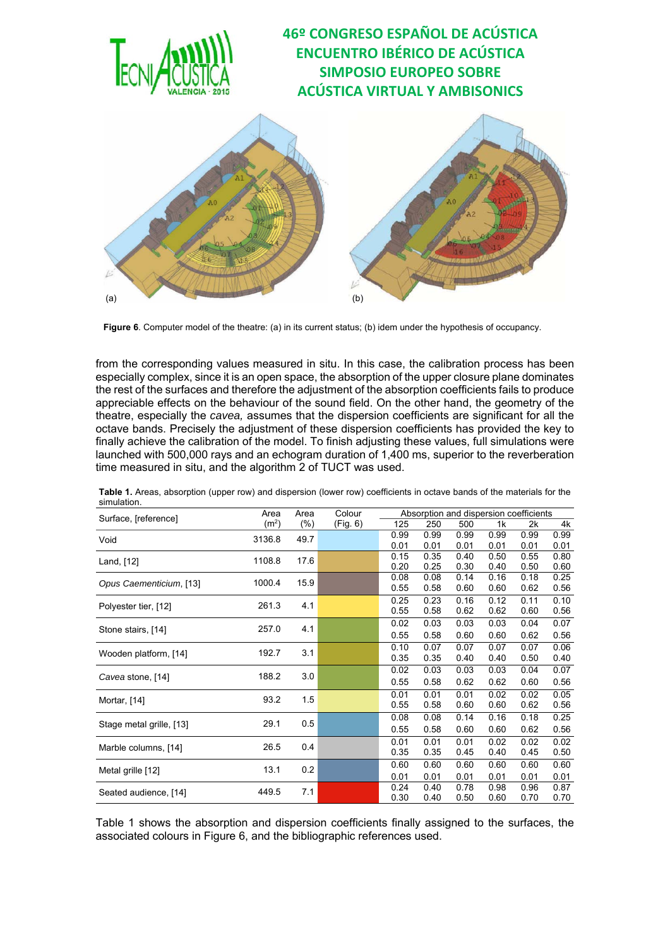

**Figure 6**. Computer model of the theatre: (a) in its current status; (b) idem under the hypothesis of occupancy.

from the corresponding values measured in situ. In this case, the calibration process has been especially complex, since it is an open space, the absorption of the upper closure plane dominates the rest of the surfaces and therefore the adjustment of the absorption coefficients fails to produce appreciable effects on the behaviour of the sound field. On the other hand, the geometry of the theatre, especially the *cavea,* assumes that the dispersion coefficients are significant for all the octave bands. Precisely the adjustment of these dispersion coefficients has provided the key to finally achieve the calibration of the model. To finish adjusting these values, full simulations were launched with 500,000 rays and an echogram duration of 1,400 ms, superior to the reverberation time measured in situ, and the algorithm 2 of TUCT was used.

|                          | Area              | Absorption and dispersion coefficients<br>Colour<br>Area |          |      |      |      |      |      |      |
|--------------------------|-------------------|----------------------------------------------------------|----------|------|------|------|------|------|------|
| Surface, [reference]     | (m <sup>2</sup> ) | $(\%)$                                                   | (Fig. 6) | 125  | 250  | 500  | 1k   | 2k   | 4k   |
| Void                     | 3136.8            | 49.7                                                     |          | 0.99 | 0.99 | 0.99 | 0.99 | 0.99 | 0.99 |
|                          |                   |                                                          |          | 0.01 | 0.01 | 0.01 | 0.01 | 0.01 | 0.01 |
| Land, [12]               | 1108.8            | 17.6                                                     |          | 0.15 | 0.35 | 0.40 | 0.50 | 0.55 | 0.80 |
|                          |                   |                                                          |          | 0.20 | 0.25 | 0.30 | 0.40 | 0.50 | 0.60 |
| Opus Caementicium, [13]  | 1000.4            | 15.9                                                     |          | 0.08 | 0.08 | 0.14 | 0.16 | 0.18 | 0.25 |
|                          |                   |                                                          |          | 0.55 | 0.58 | 0.60 | 0.60 | 0.62 | 0.56 |
|                          | 261.3             | 4.1                                                      |          | 0.25 | 0.23 | 0.16 | 0.12 | 0.11 | 0.10 |
| Polyester tier, [12]     |                   |                                                          |          | 0.55 | 0.58 | 0.62 | 0.62 | 0.60 | 0.56 |
|                          | 257.0             | 4.1                                                      |          | 0.02 | 0.03 | 0.03 | 0.03 | 0.04 | 0.07 |
| Stone stairs, [14]       |                   |                                                          |          | 0.55 | 0.58 | 0.60 | 0.60 | 0.62 | 0.56 |
|                          | 192.7             | 3.1                                                      |          | 0.10 | 0.07 | 0.07 | 0.07 | 0.07 | 0.06 |
| Wooden platform, [14]    |                   |                                                          |          | 0.35 | 0.35 | 0.40 | 0.40 | 0.50 | 0.40 |
|                          | 188.2             | 3.0                                                      |          | 0.02 | 0.03 | 0.03 | 0.03 | 0.04 | 0.07 |
| Cavea stone, [14]        |                   |                                                          |          | 0.55 | 0.58 | 0.62 | 0.62 | 0.60 | 0.56 |
|                          | 93.2              | 1.5                                                      |          | 0.01 | 0.01 | 0.01 | 0.02 | 0.02 | 0.05 |
| Mortar, [14]             |                   |                                                          |          | 0.55 | 0.58 | 0.60 | 0.60 | 0.62 | 0.56 |
|                          | 29.1              | 0.5                                                      |          | 0.08 | 0.08 | 0.14 | 0.16 | 0.18 | 0.25 |
| Stage metal grille, [13] |                   |                                                          |          | 0.55 | 0.58 | 0.60 | 0.60 | 0.62 | 0.56 |
|                          |                   |                                                          |          | 0.01 | 0.01 | 0.01 | 0.02 | 0.02 | 0.02 |
| Marble columns, [14]     | 26.5              | 0.4                                                      |          | 0.35 | 0.35 | 0.45 | 0.40 | 0.45 | 0.50 |
| Metal grille [12]        | 13.1              | 0.2                                                      |          | 0.60 | 0.60 | 0.60 | 0.60 | 0.60 | 0.60 |
|                          |                   |                                                          |          | 0.01 | 0.01 | 0.01 | 0.01 | 0.01 | 0.01 |
|                          | 449.5             | 7.1                                                      |          | 0.24 | 0.40 | 0.78 | 0.98 | 0.96 | 0.87 |
| Seated audience, [14]    |                   |                                                          |          | 0.30 | 0.40 | 0.50 | 0.60 | 0.70 | 0.70 |

**Table 1.** Areas, absorption (upper row) and dispersion (lower row) coefficients in octave bands of the materials for the simulation.

Table 1 shows the absorption and dispersion coefficients finally assigned to the surfaces, the associated colours in Figure 6, and the bibliographic references used.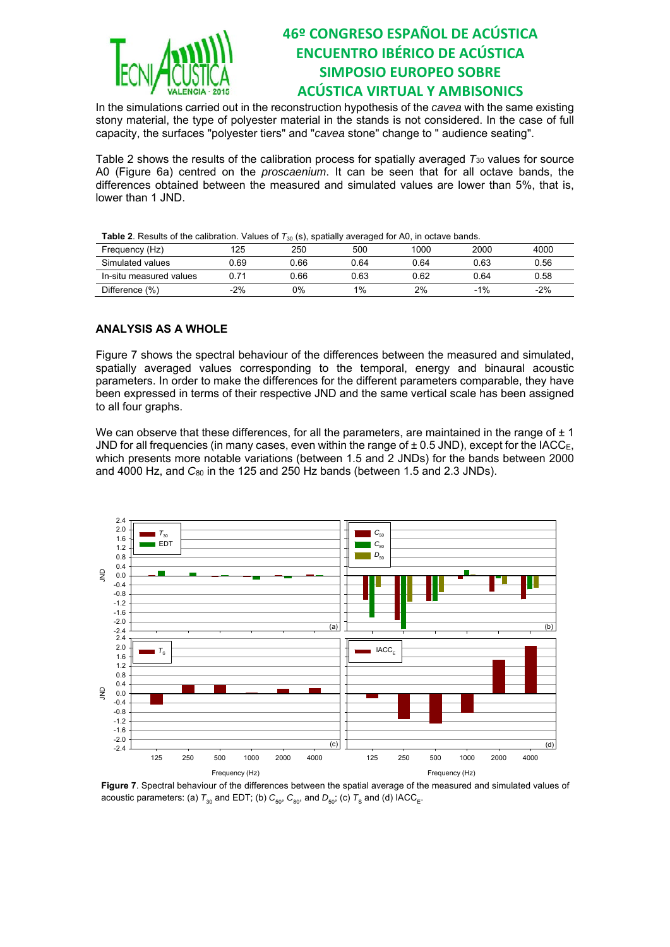

In the simulations carried out in the reconstruction hypothesis of the *cavea* with the same existing stony material, the type of polyester material in the stands is not considered. In the case of full capacity, the surfaces "polyester tiers" and "*cavea* stone" change to " audience seating".

Table 2 shows the results of the calibration process for spatially averaged *T*30 values for source A0 (Figure 6a) centred on the *proscaenium*. It can be seen that for all octave bands, the differences obtained between the measured and simulated values are lower than 5%, that is, lower than 1 JND.

|  | <b>Table 2</b> . Results of the calibration. Values of $T_{30}$ (s), spatially averaged for A0, in octave bands. |  |
|--|------------------------------------------------------------------------------------------------------------------|--|
|--|------------------------------------------------------------------------------------------------------------------|--|

| Frequency (Hz)          | 125   | 250  | 500   | 1000 | 2000  | 4000  |
|-------------------------|-------|------|-------|------|-------|-------|
| Simulated values        | 0.69  | 0.66 | 0.64  | 0.64 | 0.63  | 0.56  |
| In-situ measured values | 0.71  | 0.66 | 0.63  | 0.62 | 0.64  | 0.58  |
| Difference (%)          | $-2%$ | 0%   | $1\%$ | 2%   | $-1%$ | $-2%$ |

### **ANALYSIS AS A WHOLE**

Figure 7 shows the spectral behaviour of the differences between the measured and simulated, spatially averaged values corresponding to the temporal, energy and binaural acoustic parameters. In order to make the differences for the different parameters comparable, they have been expressed in terms of their respective JND and the same vertical scale has been assigned to all four graphs.

We can observe that these differences, for all the parameters, are maintained in the range of  $\pm 1$ JND for all frequencies (in many cases, even within the range of  $\pm$  0.5 JND), except for the IACC<sub>E</sub>, which presents more notable variations (between 1.5 and 2 JNDs) for the bands between 2000 and 4000 Hz, and *C*80 in the 125 and 250 Hz bands (between 1.5 and 2.3 JNDs).



**Figure 7**. Spectral behaviour of the differences between the spatial average of the measured and simulated values of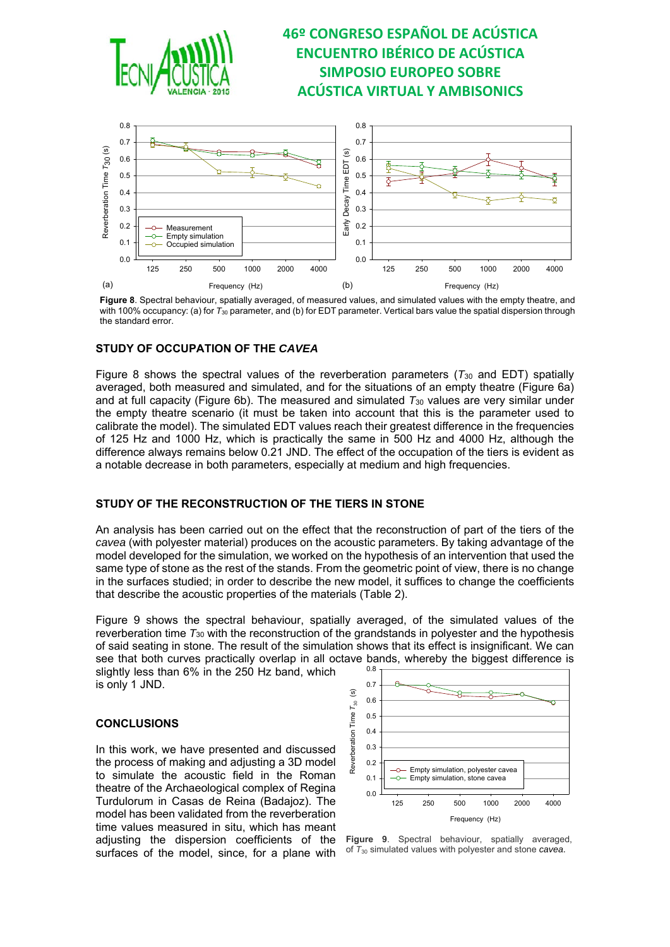

**Figure 8**. Spectral behaviour, spatially averaged, of measured values, and simulated values with the empty theatre, and with 100% occupancy: (a) for  $T_{30}$  parameter, and (b) for EDT parameter. Vertical bars value the spatial dispersion through the standard error.

### **STUDY OF OCCUPATION OF THE** *CAVEA*

Figure 8 shows the spectral values of the reverberation parameters  $(T_{30}$  and EDT) spatially averaged, both measured and simulated, and for the situations of an empty theatre (Figure 6a) and at full capacity (Figure 6b). The measured and simulated *T*30 values are very similar under the empty theatre scenario (it must be taken into account that this is the parameter used to calibrate the model). The simulated EDT values reach their greatest difference in the frequencies of 125 Hz and 1000 Hz, which is practically the same in 500 Hz and 4000 Hz, although the difference always remains below 0.21 JND. The effect of the occupation of the tiers is evident as a notable decrease in both parameters, especially at medium and high frequencies.

### **STUDY OF THE RECONSTRUCTION OF THE TIERS IN STONE**

An analysis has been carried out on the effect that the reconstruction of part of the tiers of the *cavea* (with polyester material) produces on the acoustic parameters. By taking advantage of the model developed for the simulation, we worked on the hypothesis of an intervention that used the same type of stone as the rest of the stands. From the geometric point of view, there is no change in the surfaces studied; in order to describe the new model, it suffices to change the coefficients that describe the acoustic properties of the materials (Table 2).

Figure 9 shows the spectral behaviour, spatially averaged, of the simulated values of the reverberation time *T*30 with the reconstruction of the grandstands in polyester and the hypothesis of said seating in stone. The result of the simulation shows that its effect is insignificant. We can see that both curves practically overlap in all octave bands, whereby the biggest difference is

slightly less than 6% in the 250 Hz band, which is only 1 JND.

#### **CONCLUSIONS**

In this work, we have presented and discussed the process of making and adjusting a 3D model to simulate the acoustic field in the Roman theatre of the Archaeological complex of Regina Turdulorum in Casas de Reina (Badajoz). The model has been validated from the reverberation time values measured in situ, which has meant adjusting the dispersion coefficients of the surfaces of the model, since, for a plane with



**Figure 9**. Spectral behaviour, spatially averaged, of *T*30 simulated values with polyester and stone *cavea*.